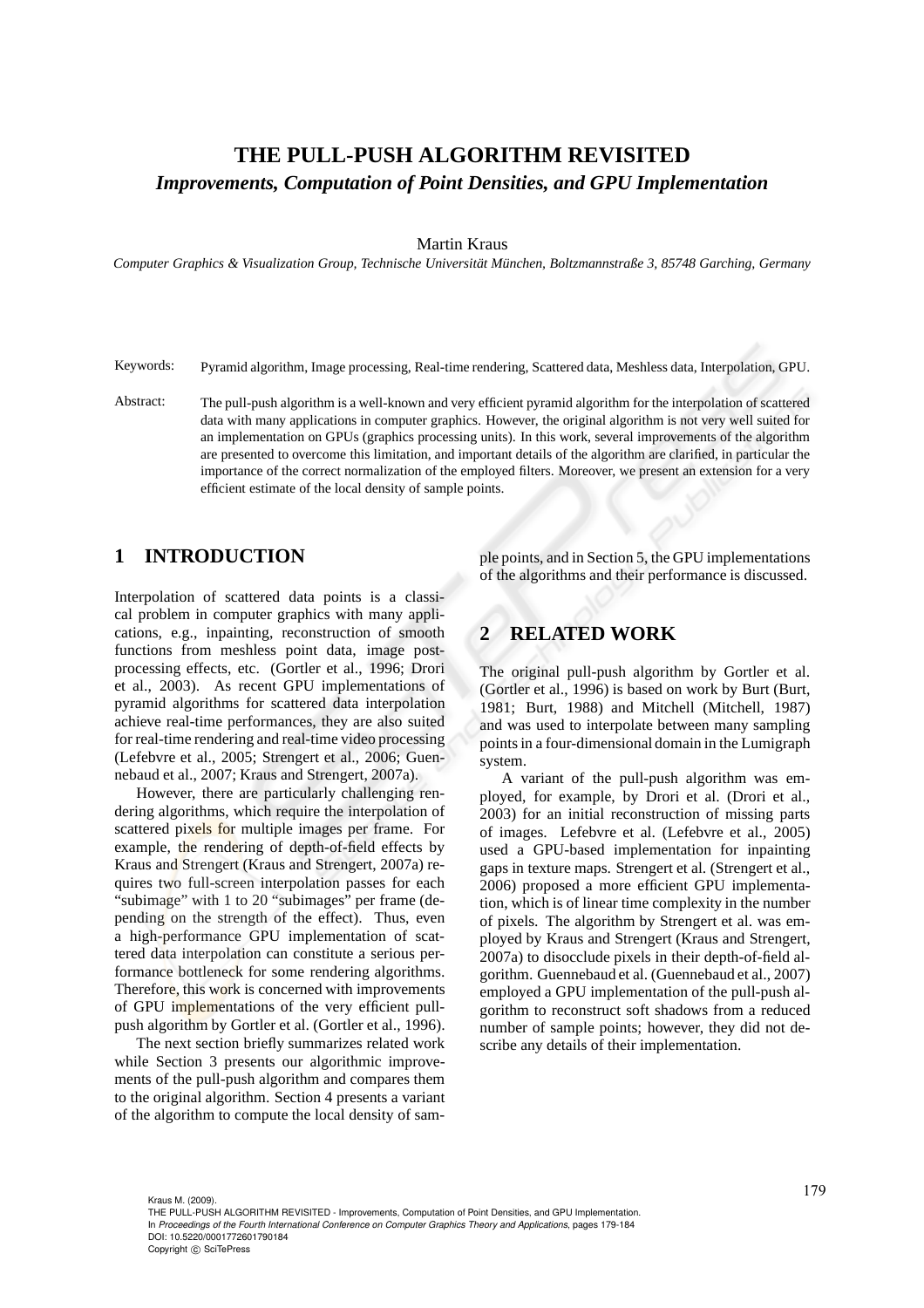# **THE PULL-PUSH ALGORITHM REVISITED** *Improvements, Computation of Point Densities, and GPU Implementation*

### Martin Kraus

*Computer Graphics & Visualization Group, Technische Universit¨at M¨unchen, Boltzmannstraße 3, 85748 Garching, Germany*

Keywords: Pyramid algorithm, Image processing, Real-time rendering, Scattered data, Meshless data, Interpolation, GPU.

Abstract: The pull-push algorithm is a well-known and very efficient pyramid algorithm for the interpolation of scattered data with many applications in computer graphics. However, the original algorithm is not very well suited for an implementation on GPUs (graphics processing units). In this work, several improvements of the algorithm are presented to overcome this limitation, and important details of the algorithm are clarified, in particular the importance of the correct normalization of the employed filters. Moreover, we present an extension for a very efficient estimate of the local density of sample points.

## **1 INTRODUCTION**

Interpolation of scattered data points is a classical problem in computer graphics with many applications, e.g., inpainting, reconstruction of smooth functions from meshless point data, image postprocessing effects, etc. (Gortler et al., 1996; Drori et al., 2003). As recent GPU implementations of pyramid algorithms for scattered data interpolation achieve real-time performances, they are also suited for real-time rendering and real-time video processing (Lefebvre et al., 2005; Strengert et al., 2006; Guennebaud et al., 2007; Kraus and Strengert, 2007a).

However, there are particularly challenging rendering algorithms, which require the interpolation of scattered pixels for multiple images per frame. For example, the rendering of depth-of-field effects by Kraus and Strengert (Kraus and Strengert, 2007a) requires two full-screen interpolation passes for each "subimage" with 1 to 20 "subimages" per frame (depending on the strength of the effect). Thus, even a high-performance GPU implementation of scattered data interpolation can constitute a serious performance bottleneck for some rendering algorithms. Therefore, this work is concerned with improvements of GPU implementations of the very efficient pullpush algorithm by Gortler et al. (Gortler et al., 1996).

The next section briefly summarizes related work while Section 3 presents our algorithmic improvements of the pull-push algorithm and compares them to the original algorithm. Section 4 presents a variant of the algorithm to compute the local density of sam-

ple points, and in Section 5, the GPU implementations of the algorithms and their performance is discussed.

## **2 RELATED WORK**

The original pull-push algorithm by Gortler et al. (Gortler et al., 1996) is based on work by Burt (Burt, 1981; Burt, 1988) and Mitchell (Mitchell, 1987) and was used to interpolate between many sampling points in a four-dimensional domain in the Lumigraph system.

A variant of the pull-push algorithm was employed, for example, by Drori et al. (Drori et al., 2003) for an initial reconstruction of missing parts of images. Lefebvre et al. (Lefebvre et al., 2005) used a GPU-based implementation for inpainting gaps in texture maps. Strengert et al. (Strengert et al., 2006) proposed a more efficient GPU implementation, which is of linear time complexity in the number of pixels. The algorithm by Strengert et al. was employed by Kraus and Strengert (Kraus and Strengert, 2007a) to disocclude pixels in their depth-of-field algorithm. Guennebaud et al. (Guennebaud et al., 2007) employed a GPU implementation of the pull-push algorithm to reconstruct soft shadows from a reduced number of sample points; however, they did not describe any details of their implementation.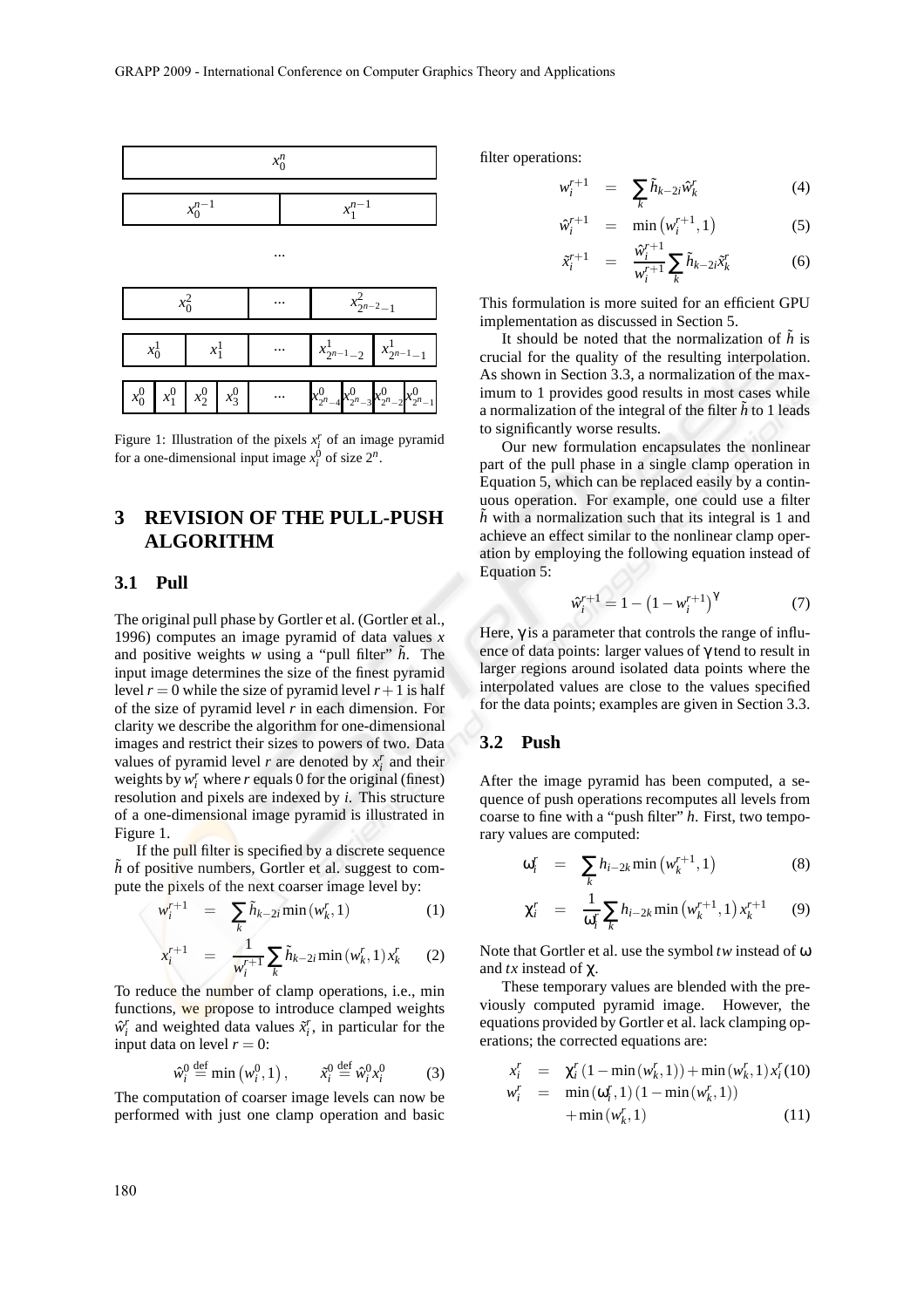

Figure 1: Illustration of the pixels  $x_i^r$  of an image pyramid for a one-dimensional input image  $x_i^0$  of size  $2^n$ .

# **3 REVISION OF THE PULL-PUSH ALGORITHM**

### **3.1 Pull**

The original pull phase by Gortler et al. (Gortler et al., 1996) computes an image pyramid of data values *x* and positive weights *w* using a "pull filter"  $\tilde{h}$ . The input image determines the size of the finest pyramid level  $r = 0$  while the size of pyramid level  $r + 1$  is half of the size of pyramid level *r* in each dimension. For clarity we describe the algorithm for one-dimensional images and restrict their sizes to powers of two. Data values of pyramid level *r* are denoted by  $x_i^r$  and their weights by  $w_i^r$  where  $r$  equals 0 for the original (finest) resolution and pixels are indexed by *i*. This structure of a one-dimensional image pyramid is illustrated in Figure 1.

If the pull filter is specified by a discrete sequence  $\tilde{h}$  of positive numbers, Gortler et al. suggest to compute the pixels of the next coarser image level by:

$$
w_i^{r+1} = \sum_k \tilde{h}_{k-2i} \min(w_k^r, 1) \tag{1}
$$

$$
x_i^{r+1} = \frac{1}{w_i^{r+1}} \sum_k \tilde{h}_{k-2i} \min(w_k^r, 1) x_k^r \qquad (2)
$$

To reduce the number of clamp operations, i.e., min functions, we propose to introduce clamped weights  $\hat{w}_i^r$  and weighted data values  $\tilde{x}_i^r$ , in particular for the input data on level  $r = 0$ :

$$
\hat{w}_i^0 \stackrel{\text{def}}{=} \min(w_i^0, 1), \qquad \tilde{x}_i^0 \stackrel{\text{def}}{=} \hat{w}_i^0 x_i^0 \tag{3}
$$

The computation of coarser image levels can now be performed with just one clamp operation and basic filter operations:

$$
w_i^{r+1} = \sum_k \tilde{h}_{k-2i} \hat{w}_k^r \tag{4}
$$

$$
\hat{w}_i^{r+1} = \min(w_i^{r+1}, 1) \tag{5}
$$

$$
\tilde{x}_i^{r+1} = \frac{\hat{w}_i^{r+1}}{w_i^{r+1}} \sum_k \tilde{h}_{k-2i} \tilde{x}_k^r \tag{6}
$$

This formulation is more suited for an efficient GPU implementation as discussed in Section 5.

It should be noted that the normalization of  $\hat{h}$  is crucial for the quality of the resulting interpolation. As shown in Section 3.3, a normalization of the maximum to 1 provides good results in most cases while a normalization of the integral of the filter  $\tilde{h}$  to 1 leads to significantly worse results.

Our new formulation encapsulates the nonlinear part of the pull phase in a single clamp operation in Equation 5, which can be replaced easily by a continuous operation. For example, one could use a filter  $\tilde{h}$  with a normalization such that its integral is 1 and achieve an effect similar to the nonlinear clamp operation by employing the following equation instead of Equation 5:

$$
\hat{w}_i^{r+1} = 1 - \left(1 - w_i^{r+1}\right)^{\gamma} \tag{7}
$$

Here,  $\gamma$  is a parameter that controls the range of influence of data points: larger values of γ tend to result in larger regions around isolated data points where the interpolated values are close to the values specified for the data points; examples are given in Section 3.3.

## **3.2 Push**

After the image pyramid has been computed, a sequence of push operations recomputes all levels from coarse to fine with a "push filter" *h*. First, two temporary values are computed:

$$
\omega_i^r = \sum_k h_{i-2k} \min\left(w_k^{r+1}, 1\right) \tag{8}
$$

$$
\chi_i^r = \frac{1}{\omega_i^r} \sum_k h_{i-2k} \min(\mathbf{w}_k^{r+1}, 1) x_k^{r+1} \qquad (9)
$$

Note that Gortler et al. use the symbol *tw* instead of ω and *tx* instead of χ.

These temporary values are blended with the previously computed pyramid image. However, the equations provided by Gortler et al. lack clamping operations; the corrected equations are:

$$
x_i^r = \chi_i^r (1 - \min(w_k^r, 1)) + \min(w_k^r, 1) x_i^r (10)
$$
  

$$
w_i^r = \min(\omega_i^r, 1) (1 - \min(w_k^r, 1)) + \min(w_k^r, 1)
$$
 (11)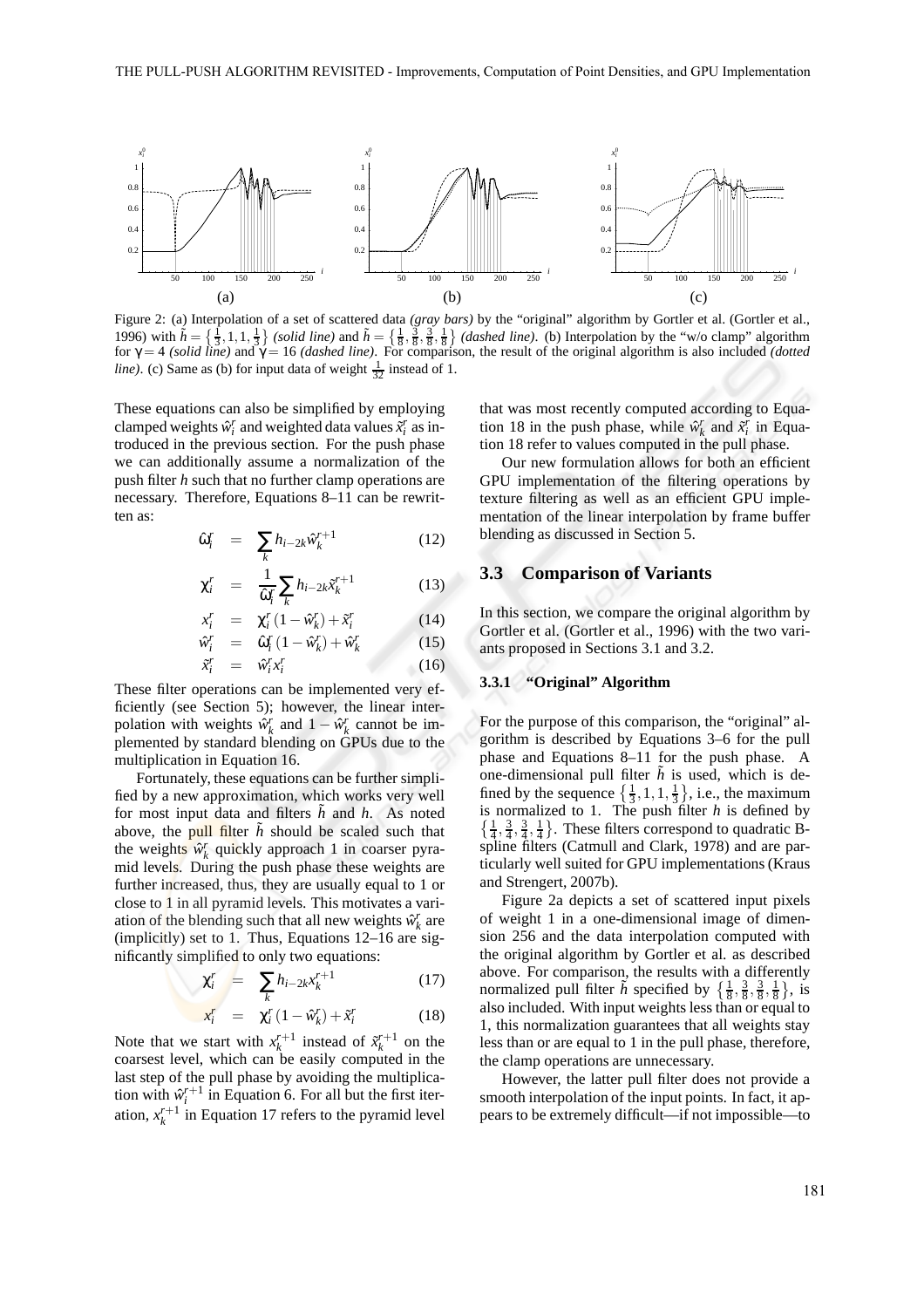

Figure 2: (a) Interpolation of a set of scattered data *(gray bars)* by the "original" algorithm by Gortler et al. (Gortler et al., 1996) with  $\tilde{h} = \left\{ \frac{1}{3}, 1, 1, \frac{1}{3} \right\}$  (solid line) and  $\tilde{h} = \left\{ \frac{1}{8}, \frac{3}{8}, \frac{3}{8}, \frac{1}{8} \right\}$  (dashed line). (b) Interpolation by the "w/o clamp" algorithm for γ = 4 *(solid line)* and γ = 16 *(dashed line)*. For comparison, the result of the original algorithm is also included *(dotted line*). (c) Same as (b) for input data of weight  $\frac{1}{32}$  instead of 1.

These equations can also be simplified by employing clamped weights  $\hat{w}^r_i$  and weighted data values  $\tilde{x}^r_i$  as introduced in the previous section. For the push phase we can additionally assume a normalization of the push filter *h* such that no further clamp operations are necessary. Therefore, Equations 8–11 can be rewritten as:

$$
\hat{\omega}_i^r = \sum_k h_{i-2k} \hat{w}_k^{r+1} \tag{12}
$$

$$
\chi_i^r = \frac{1}{\hat{\omega}_i^r} \sum_k h_{i-2k} \tilde{x}_k^{r+1} \tag{13}
$$

$$
x_i^r = \chi_i^r (1 - \hat{w}_k^r) + \tilde{x}_i^r \tag{14}
$$

$$
\hat{w}_i^r = \hat{\omega}_i^r (1 - \hat{w}_k^r) + \hat{w}_k^r \tag{15}
$$

$$
\tilde{x}_i^r = \hat{w}_i^r x_i^r \tag{16}
$$

These filter operations can be implemented very efficiently (see Section 5); however, the linear interpolation with weights  $\hat{w}_k^r$  and  $1 - \hat{w}_k^r$  cannot be implemented by standard blending on GPUs due to the multiplication in Equation 16.

Fortunately, these equations can be further simplified by a new approximation, which works very well for most input data and filters *h* and *h*. As noted above, the pull filter  $\hat{h}$  should be scaled such that the weights  $\hat{w}_k^r$  quickly approach 1 in coarser pyramid levels. During the push phase these weights are further increased, thus, they are usually equal to 1 or close to 1 in all pyramid levels. This motivates a variation of the blending such that all new weights  $\hat{w}_k^r$  are (implicitly) set to 1. Thus, Equations 12–16 are significantly simplified to only two equations:

$$
\chi_i^r = \sum_k h_{i-2k} x_k^{r+1} \tag{17}
$$

$$
x_i^r = \chi_i^r (1 - \hat{w}_k^r) + \tilde{x}_i^r \tag{18}
$$

Note that we start with  $x_k^{r+1}$  instead of  $\tilde{x}_k^{r+1}$  on the coarsest level, which can be easily computed in the last step of the pull phase by avoiding the multiplication with  $\hat{w}_i^{r+1}$  in Equation 6. For all but the first iteration,  $x_k^{r+1}$  in Equation 17 refers to the pyramid level that was most recently computed according to Equation 18 in the push phase, while  $\hat{w}_k^r$  and  $\tilde{x}_i^r$  in Equation 18 refer to values computed in the pull phase.

Our new formulation allows for both an efficient GPU implementation of the filtering operations by texture filtering as well as an efficient GPU implementation of the linear interpolation by frame buffer blending as discussed in Section 5.

### **3.3 Comparison of Variants**

In this section, we compare the original algorithm by Gortler et al. (Gortler et al., 1996) with the two variants proposed in Sections 3.1 and 3.2.

#### **3.3.1 "Original" Algorithm**

For the purpose of this comparison, the "original" algorithm is described by Equations 3–6 for the pull phase and Equations 8–11 for the push phase. A one-dimensional pull filter  $\tilde{h}$  is used, which is defined by the sequence  $\{\frac{1}{3}, 1, 1, \frac{1}{3}\},$  i.e., the maximum is normalized to 1. The push filter *h* is defined by  $\{\frac{1}{4}, \frac{3}{4}, \frac{3}{4}, \frac{1}{4}\}.$  These filters correspond to quadratic Bspline filters (Catmull and Clark, 1978) and are particularly well suited for GPU implementations (Kraus and Strengert, 2007b).

Figure 2a depicts a set of scattered input pixels of weight 1 in a one-dimensional image of dimension 256 and the data interpolation computed with the original algorithm by Gortler et al. as described above. For comparison, the results with a differently normalized pull filter  $\tilde{h}$  specified by  $\{\frac{1}{8}, \frac{3}{8}, \frac{3}{8}, \frac{1}{8}\},\$  is also included. With input weights less than or equal to 1, this normalization guarantees that all weights stay less than or are equal to 1 in the pull phase, therefore, the clamp operations are unnecessary.

However, the latter pull filter does not provide a smooth interpolation of the input points. In fact, it appears to be extremely difficult—if not impossible—to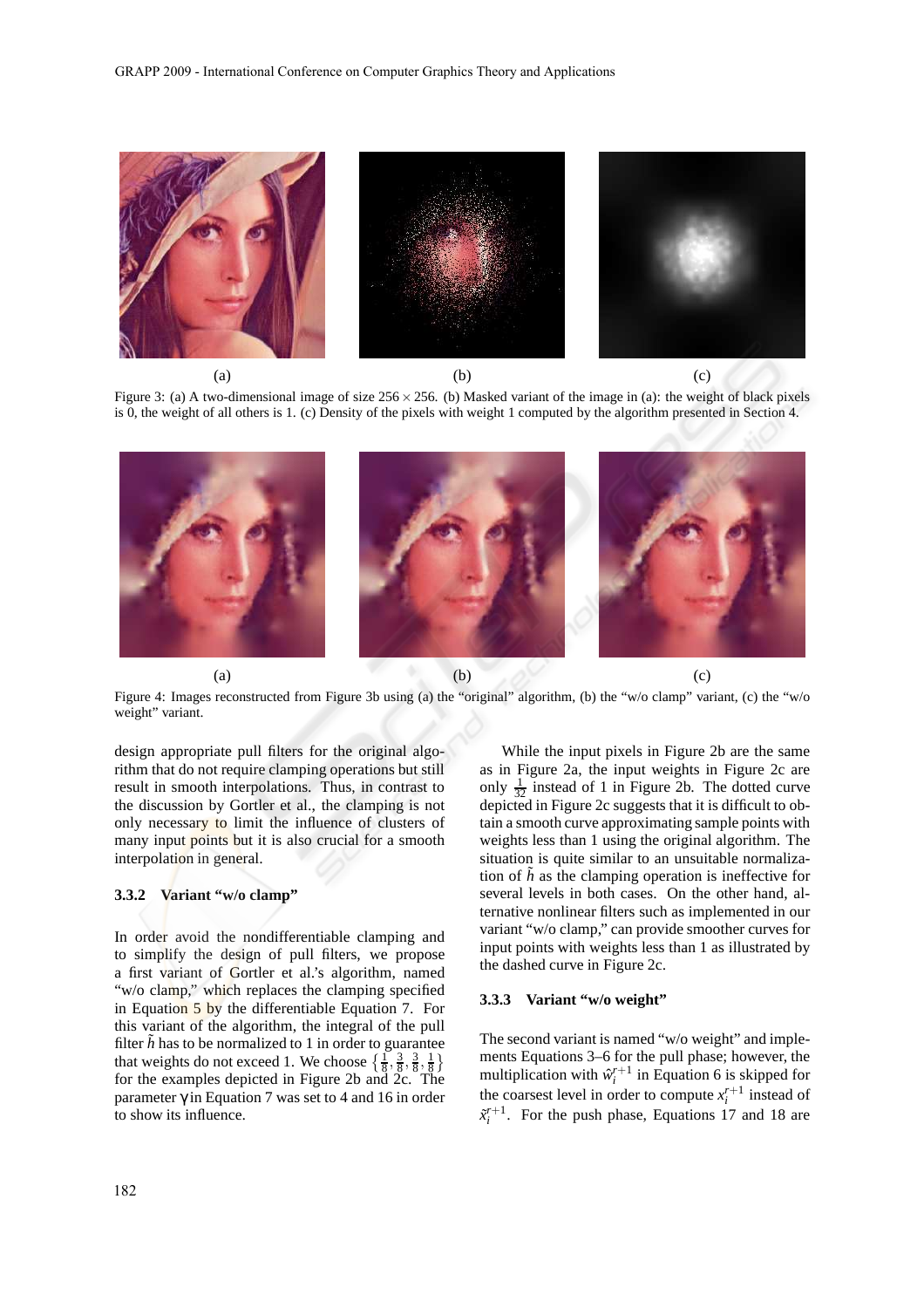

Figure 3: (a) A two-dimensional image of size  $256 \times 256$ . (b) Masked variant of the image in (a): the weight of black pixels is 0, the weight of all others is 1. (c) Density of the pixels with weight 1 computed by the algorithm presented in Section 4.



Figure 4: Images reconstructed from Figure 3b using (a) the "original" algorithm, (b) the "w/o clamp" variant, (c) the "w/o weight" variant.

design appropriate pull filters for the original algorithm that do not require clamping operations but still result in smooth interpolations. Thus, in contrast to the discussion by Gortler et al., the clamping is not only necessary to limit the influence of clusters of many input points but it is also crucial for a smooth interpolation in general.

### **3.3.2 Variant "w/o clamp"**

In order avoid the nondifferentiable clamping and to simplify the design of pull filters, we propose a first variant of Gortler et al.'s algorithm, named "w/o clamp," which replaces the clamping specified in Equation 5 by the differentiable Equation 7. For this variant of the algorithm, the integral of the pull filter  $\tilde{h}$  has to be normalized to 1 in order to guarantee that weights do not exceed 1. We choose  $\left\{\frac{1}{8}, \frac{3}{8}, \frac{3}{8}, \frac{1}{8}\right\}$ for the examples depicted in Figure 2b and 2c. The parameter  $\gamma$  in Equation 7 was set to 4 and 16 in order to show its influence.

ternative nonlinear filters such as implemented in our variant "w/o clamp," can provide smoother curves for input points with weights less than 1 as illustrated by the dashed curve in Figure 2c. **3.3.3 Variant "w/o weight"** The second variant is named "w/o weight" and imple-

ments Equations 3–6 for the pull phase; however, the multiplication with  $\hat{w}_i^{r+1}$  in Equation 6 is skipped for the coarsest level in order to compute  $x_i^{r+1}$  instead of  $\tilde{x}_i^{r+1}$ . For the push phase, Equations 17 and 18 are

While the input pixels in Figure 2b are the same as in Figure 2a, the input weights in Figure 2c are only  $\frac{1}{32}$  instead of 1 in Figure 2b. The dotted curve depicted in Figure 2c suggests that it is difficult to obtain a smooth curve approximating sample points with weights less than 1 using the original algorithm. The situation is quite similar to an unsuitable normalization of  $\tilde{h}$  as the clamping operation is ineffective for several levels in both cases. On the other hand, al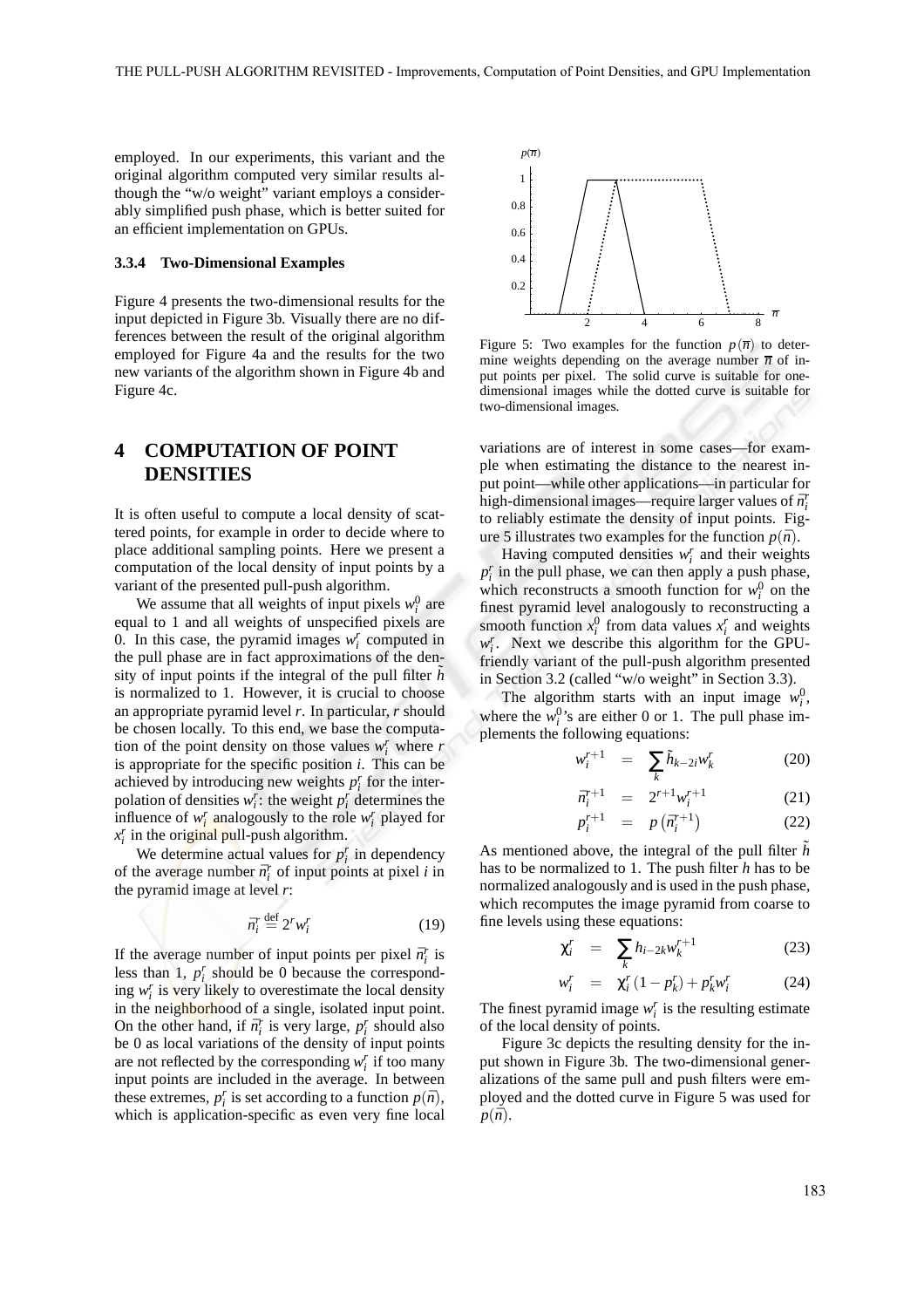employed. In our experiments, this variant and the original algorithm computed very similar results although the "w/o weight" variant employs a considerably simplified push phase, which is better suited for an efficient implementation on GPUs.

#### **3.3.4 Two-Dimensional Examples**

Figure 4 presents the two-dimensional results for the input depicted in Figure 3b. Visually there are no differences between the result of the original algorithm employed for Figure 4a and the results for the two new variants of the algorithm shown in Figure 4b and Figure 4c.

## **4 COMPUTATION OF POINT DENSITIES**

It is often useful to compute a local density of scattered points, for example in order to decide where to place additional sampling points. Here we present a computation of the local density of input points by a variant of the presented pull-push algorithm.

We assume that all weights of input pixels  $w_i^0$  are equal to 1 and all weights of unspecified pixels are 0. In this case, the pyramid images  $w_i^r$  computed in the pull phase are in fact approximations of the density of input points if the integral of the pull filter  $\tilde{h}$ is normalized to 1. However, it is crucial to choose an appropriate pyramid level *r*. In particular, *r* should be chosen locally. To this end, we base the computation of the point density on those values  $w_i^r$  where  $r$ is appropriate for the specific position *i*. This can be achieved by introducing new weights  $p_i^r$  for the interpolation of densities  $w_i^r$ : the weight  $p_i^r$  determines the influence of  $w_i^r$  analogously to the role  $w_i^r$  played for *x r i* in the original pull-push algorithm.

We determine actual values for  $p_i^r$  in dependency of the average number  $\bar{n}_i^r$  of input points at pixel *i* in the pyramid image at level *r*:

$$
\bar{n}_i^r \stackrel{\text{def}}{=} 2^r w_i^r \tag{19}
$$

If the average number of input points per pixel  $\bar{n}_i^r$  is less than 1,  $p_i^r$  should be 0 because the corresponding  $w_i^r$  is very likely to overestimate the local density in the neighborhood of a single, isolated input point. On the other hand, if  $\bar{n}_i^r$  is very large,  $p_i^r$  should also be 0 as local variations of the density of input points are not reflected by the corresponding  $w_i^r$  if too many input points are included in the average. In between these extremes,  $p_i^r$  is set according to a function  $p(\bar{n})$ , which is application-specific as even very fine local



Figure 5: Two examples for the function  $p(\overline{n})$  to determine weights depending on the average number  $\overline{n}$  of input points per pixel. The solid curve is suitable for onedimensional images while the dotted curve is suitable for two-dimensional images.

variations are of interest in some cases—for example when estimating the distance to the nearest input point—while other applications—in particular for high-dimensional images—require larger values of  $\bar{n}_i^r$ to reliably estimate the density of input points. Figure 5 illustrates two examples for the function  $p(\bar{n})$ .

Having computed densities  $w_i^r$  and their weights  $p_i^r$  in the pull phase, we can then apply a push phase, which reconstructs a smooth function for  $w_i^0$  on the finest pyramid level analogously to reconstructing a smooth function  $x_i^0$  from data values  $x_i^r$  and weights  $w_i^r$ . Next we describe this algorithm for the GPUfriendly variant of the pull-push algorithm presented in Section 3.2 (called "w/o weight" in Section 3.3).

The algorithm starts with an input image  $w_i^0$ , where the  $w_i^0$ 's are either 0 or 1. The pull phase implements the following equations:

$$
w_i^{r+1} = \sum_k \tilde{h}_{k-2i} w_k^r \tag{20}
$$

$$
\bar{n}_i^{r+1} = 2^{r+1} w_i^{r+1} \tag{21}
$$

$$
p_i^{r+1} = p\left(\bar{n}_i^{r+1}\right) \tag{22}
$$

As mentioned above, the integral of the pull filter  $\tilde{h}$ has to be normalized to 1. The push filter *h* has to be normalized analogously and is used in the push phase, which recomputes the image pyramid from coarse to fine levels using these equations:

$$
\chi_i^r = \sum_k h_{i-2k} w_k^{r+1} \tag{23}
$$

$$
r_i^r = \chi_i^r (1 - p_k^r) + p_k^r w_i^r \qquad (24)
$$

The finest pyramid image  $w_i^r$  is the resulting estimate of the local density of points.

*w*

Figure 3c depicts the resulting density for the input shown in Figure 3b. The two-dimensional generalizations of the same pull and push filters were employed and the dotted curve in Figure 5 was used for  $p(\bar{n})$ .